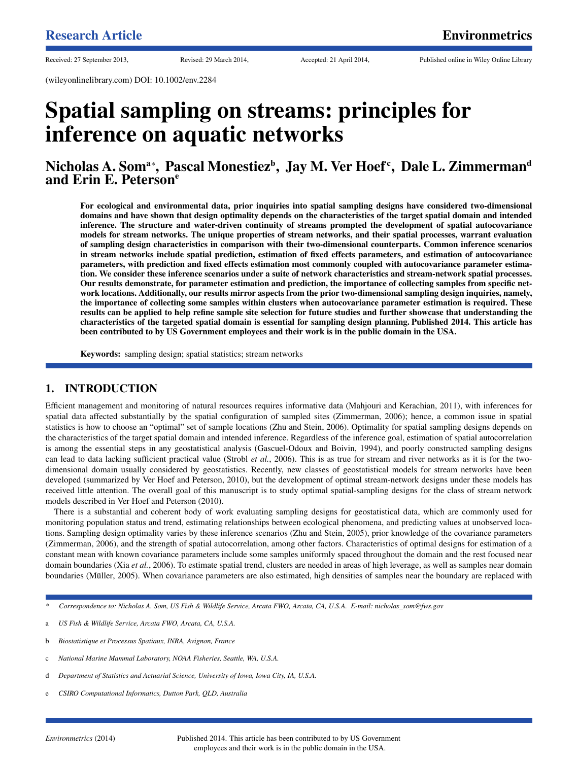(wileyonlinelibrary.com) DOI: 10.1002/env.2284

Received: 27 September 2013, Revised: 29 March 2014, Accepted: 21 April 2014, Published online in Wiley Online Library

# **Spatial sampling on streams: principles for inference on aquatic networks**

# $\mathbf{Nicholas\ A.\ Som^{a*}, \ Pascal\ Monestiez^b, \ Jay\ M.\ Ver Hoef^c, \ Dale\ L.\ Zimmerman^d$ **and Erin E. Petersone**

**For ecological and environmental data, prior inquiries into spatial sampling designs have considered two-dimensional domains and have shown that design optimality depends on the characteristics of the target spatial domain and intended inference. The structure and water-driven continuity of streams prompted the development of spatial autocovariance models for stream networks. The unique properties of stream networks, and their spatial processes, warrant evaluation of sampling design characteristics in comparison with their two-dimensional counterparts. Common inference scenarios in stream networks include spatial prediction, estimation of fixed effects parameters, and estimation of autocovariance parameters, with prediction and fixed effects estimation most commonly coupled with autocovariance parameter estimation. We consider these inference scenarios under a suite of network characteristics and stream-network spatial processes. Our results demonstrate, for parameter estimation and prediction, the importance of collecting samples from specific network locations. Additionally, our results mirror aspects from the prior two-dimensional sampling design inquiries, namely, the importance of collecting some samples within clusters when autocovariance parameter estimation is required. These results can be applied to help refine sample site selection for future studies and further showcase that understanding the characteristics of the targeted spatial domain is essential for sampling design planning. Published 2014. This article has been contributed to by US Government employees and their work is in the public domain in the USA.**

**Keywords:** sampling design; spatial statistics; stream networks

# **1. INTRODUCTION**

Efficient management and monitoring of natural resources requires informative data (Mahjouri and Kerachian, 2011), with inferences for spatial data affected substantially by the spatial configuration of sampled sites (Zimmerman, 2006); hence, a common issue in spatial statistics is how to choose an "optimal" set of sample locations (Zhu and Stein, 2006). Optimality for spatial sampling designs depends on the characteristics of the target spatial domain and intended inference. Regardless of the inference goal, estimation of spatial autocorrelation is among the essential steps in any geostatistical analysis (Gascuel-Odoux and Boivin, 1994), and poorly constructed sampling designs can lead to data lacking sufficient practical value (Strobl *et al.*, 2006). This is as true for stream and river networks as it is for the twodimensional domain usually considered by geostatistics. Recently, new classes of geostatistical models for stream networks have been developed (summarized by Ver Hoef and Peterson, 2010), but the development of optimal stream-network designs under these models has received little attention. The overall goal of this manuscript is to study optimal spatial-sampling designs for the class of stream network models described in Ver Hoef and Peterson (2010).

There is a substantial and coherent body of work evaluating sampling designs for geostatistical data, which are commonly used for monitoring population status and trend, estimating relationships between ecological phenomena, and predicting values at unobserved locations. Sampling design optimality varies by these inference scenarios (Zhu and Stein, 2005), prior knowledge of the covariance parameters (Zimmerman, 2006), and the strength of spatial autocorrelation, among other factors. Characteristics of optimal designs for estimation of a constant mean with known covariance parameters include some samples uniformly spaced throughout the domain and the rest focused near domain boundaries (Xia et al., 2006). To estimate spatial trend, clusters are needed in areas of high leverage, as well as samples near domain boundaries (Müller, 2005). When covariance parameters are also estimated, high densities of samples near the boundary are replaced with

- a *US Fish & Wildlife Service, Arcata FWO, Arcata, CA, U.S.A.*
- b *Biostatistique et Processus Spatiaux, INRA, Avignon, France*
- c *National Marine Mammal Laboratory, NOAA Fisheries, Seattle, WA, U.S.A.*
- d *Department of Statistics and Actuarial Science, University of Iowa, Iowa City, IA, U.S.A.*
- e *CSIRO Computational Informatics, Dutton Park, QLD, Australia*

<sup>\*</sup> *Correspondence to: Nicholas A. Som, US Fish & Wildlife Service, Arcata FWO, Arcata, CA, U.S.A. E-mail: nicholas\_som@fws.gov*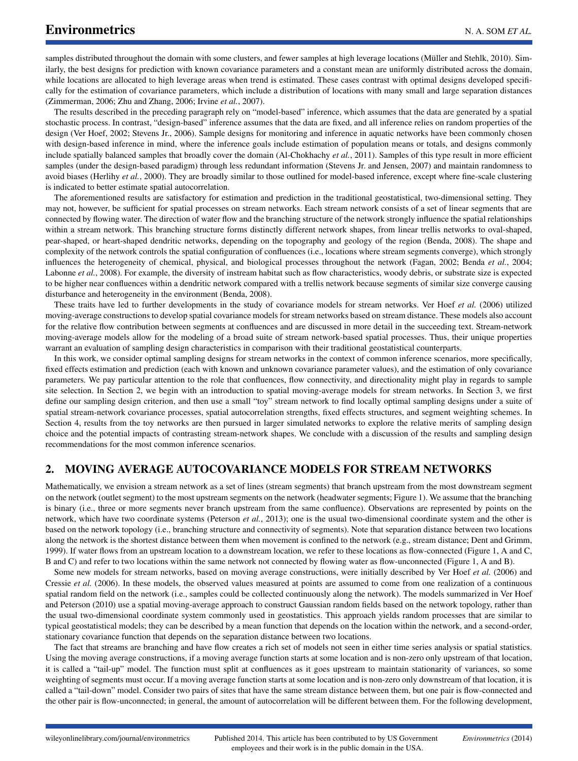samples distributed throughout the domain with some clusters, and fewer samples at high leverage locations (Müller and Stehlk, 2010). Similarly, the best designs for prediction with known covariance parameters and a constant mean are uniformly distributed across the domain, while locations are allocated to high leverage areas when trend is estimated. These cases contrast with optimal designs developed specifically for the estimation of covariance parameters, which include a distribution of locations with many small and large separation distances (Zimmerman, 2006; Zhu and Zhang, 2006; Irvine *et al.*, 2007).

The results described in the preceding paragraph rely on "model-based" inference, which assumes that the data are generated by a spatial stochastic process. In contrast, "design-based" inference assumes that the data are fixed, and all inference relies on random properties of the design (Ver Hoef, 2002; Stevens Jr., 2006). Sample designs for monitoring and inference in aquatic networks have been commonly chosen with design-based inference in mind, where the inference goals include estimation of population means or totals, and designs commonly include spatially balanced samples that broadly cover the domain (Al-Chokhachy *et al.*, 2011). Samples of this type result in more efficient samples (under the design-based paradigm) through less redundant information (Stevens Jr. and Jensen, 2007) and maintain randomness to avoid biases (Herlihy *et al.*, 2000). They are broadly similar to those outlined for model-based inference, except where fine-scale clustering is indicated to better estimate spatial autocorrelation.

The aforementioned results are satisfactory for estimation and prediction in the traditional geostatistical, two-dimensional setting. They may not, however, be sufficient for spatial processes on stream networks. Each stream network consists of a set of linear segments that are connected by flowing water. The direction of water flow and the branching structure of the network strongly influence the spatial relationships within a stream network. This branching structure forms distinctly different network shapes, from linear trellis networks to oval-shaped, pear-shaped, or heart-shaped dendritic networks, depending on the topography and geology of the region (Benda, 2008). The shape and complexity of the network controls the spatial configuration of confluences (i.e., locations where stream segments converge), which strongly influences the heterogeneity of chemical, physical, and biological processes throughout the network (Fagan, 2002; Benda *et al.*, 2004; Labonne *et al.*, 2008). For example, the diversity of instream habitat such as flow characteristics, woody debris, or substrate size is expected to be higher near confluences within a dendritic network compared with a trellis network because segments of similar size converge causing disturbance and heterogeneity in the environment (Benda, 2008).

These traits have led to further developments in the study of covariance models for stream networks. Ver Hoef *et al.* (2006) utilized moving-average constructions to develop spatial covariance models for stream networks based on stream distance. These models also account for the relative flow contribution between segments at confluences and are discussed in more detail in the succeeding text. Stream-network moving-average models allow for the modeling of a broad suite of stream network-based spatial processes. Thus, their unique properties warrant an evaluation of sampling design characteristics in comparison with their traditional geostatistical counterparts.

In this work, we consider optimal sampling designs for stream networks in the context of common inference scenarios, more specifically, fixed effects estimation and prediction (each with known and unknown covariance parameter values), and the estimation of only covariance parameters. We pay particular attention to the role that confluences, flow connectivity, and directionality might play in regards to sample site selection. In Section [2,](#page-1-0) we begin with an introduction to spatial moving-average models for stream networks. In Section [3,](#page-3-0) we first define our sampling design criterion, and then use a small "toy" stream network to find locally optimal sampling designs under a suite of spatial stream-network covariance processes, spatial autocorrelation strengths, fixed effects structures, and segment weighting schemes. In Section [4,](#page-9-0) results from the toy networks are then pursued in larger simulated networks to explore the relative merits of sampling design choice and the potential impacts of contrasting stream-network shapes. We conclude with a discussion of the results and sampling design recommendations for the most common inference scenarios.

# <span id="page-1-0"></span>**2. MOVING AVERAGE AUTOCOVARIANCE MODELS FOR STREAM NETWORKS**

Mathematically, we envision a stream network as a set of lines (stream segments) that branch upstream from the most downstream segment on the network (outlet segment) to the most upstream segments on the network (headwater segments; Figure [1\)](#page-2-0). We assume that the branching is binary (i.e., three or more segments never branch upstream from the same confluence). Observations are represented by points on the network, which have two coordinate systems (Peterson *et al.*, 2013); one is the usual two-dimensional coordinate system and the other is based on the network topology (i.e., branching structure and connectivity of segments). Note that separation distance between two locations along the network is the shortest distance between them when movement is confined to the network (e.g., stream distance; Dent and Grimm, 1999). If water flows from an upstream location to a downstream location, we refer to these locations as flow-connected (Figure [1,](#page-2-0) A and C, B and C) and refer to two locations within the same network not connected by flowing water as flow-unconnected (Figure [1,](#page-2-0) A and B).

Some new models for stream networks, based on moving average constructions, were initially described by Ver Hoef *et al.* (2006) and Cressie *et al.* (2006). In these models, the observed values measured at points are assumed to come from one realization of a continuous spatial random field on the network (i.e., samples could be collected continuously along the network). The models summarized in Ver Hoef and Peterson (2010) use a spatial moving-average approach to construct Gaussian random fields based on the network topology, rather than the usual two-dimensional coordinate system commonly used in geostatistics. This approach yields random processes that are similar to typical geostatistical models; they can be described by a mean function that depends on the location within the network, and a second-order, stationary covariance function that depends on the separation distance between two locations.

The fact that streams are branching and have flow creates a rich set of models not seen in either time series analysis or spatial statistics. Using the moving average constructions, if a moving average function starts at some location and is non-zero only upstream of that location, it is called a "tail-up" model. The function must split at confluences as it goes upstream to maintain stationarity of variances, so some weighting of segments must occur. If a moving average function starts at some location and is non-zero only downstream of that location, it is called a "tail-down" model. Consider two pairs of sites that have the same stream distance between them, but one pair is flow-connected and the other pair is flow-unconnected; in general, the amount of autocorrelation will be different between them. For the following development,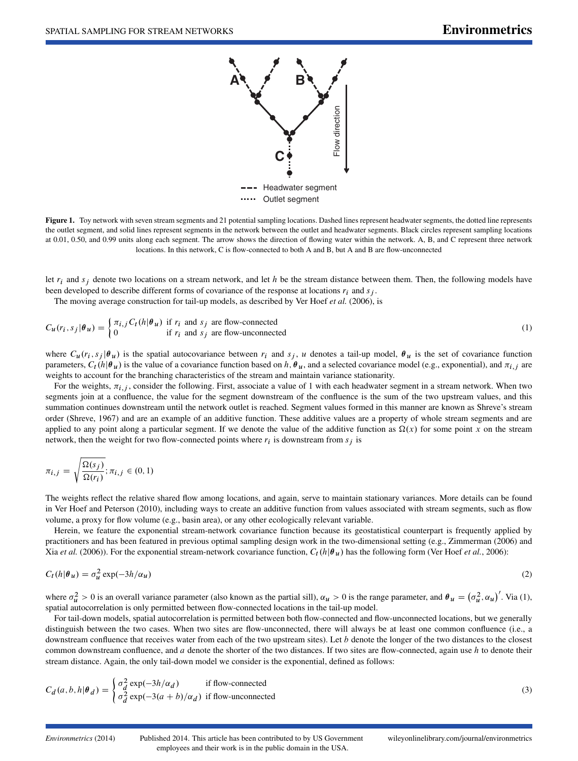<span id="page-2-1"></span>

<span id="page-2-0"></span>**Figure 1.** Toy network with seven stream segments and 21 potential sampling locations. Dashed lines represent headwater segments, the dotted line represents the outlet segment, and solid lines represent segments in the network between the outlet and headwater segments. Black circles represent sampling locations at 0.01, 0.50, and 0.99 units along each segment. The arrow shows the direction of flowing water within the network. A, B, and C represent three network locations. In this network, C is flow-connected to both A and B, but A and B are flow-unconnected

let  $r_i$  and  $s_j$  denote two locations on a stream network, and let h be the stream distance between them. Then, the following models have been developed to describe different forms of covariance of the response at locations  $r_i$  and  $s_j$ .

The moving average construction for tail-up models, as described by Ver Hoef *et al.* (2006), is

$$
C_u(r_i, s_j | \theta_u) =\begin{cases} \pi_{i,j} C_t(h | \theta_u) & \text{if } r_i \text{ and } s_j \text{ are flow-connected} \\ 0 & \text{if } r_i \text{ and } s_j \text{ are flow-unconnected} \end{cases}
$$
(1)

where  $C_u(r_i, s_j | \theta_u)$  is the spatial autocovariance between  $r_i$  and  $s_j$ , u denotes a tail-up model,  $\theta_u$  is the set of covariance function parameters,  $C_l(h|\theta_u)$  is the value of a covariance function based on  $h, \theta_u$ , and a selected covariance model (e.g., exponential), and  $\pi_{i,j}$  are weights to account for the branching characteristics of the stream and maintain variance stationarity.

For the weights,  $\pi_{i,j}$ , consider the following. First, associate a value of 1 with each headwater segment in a stream network. When two segments join at a confluence, the value for the segment downstream of the confluence is the sum of the two upstream values, and this summation continues downstream until the network outlet is reached. Segment values formed in this manner are known as Shreve's stream order (Shreve, 1967) and are an example of an additive function. These additive values are a property of whole stream segments and are applied to any point along a particular segment. If we denote the value of the additive function as  $\Omega(x)$  for some point x on the stream network, then the weight for two flow-connected points where  $r_i$  is downstream from  $s_i$  is

$$
\pi_{i,j} = \sqrt{\frac{\Omega(s_j)}{\Omega(r_i)}}; \pi_{i,j} \in (0,1)
$$

The weights reflect the relative shared flow among locations, and again, serve to maintain stationary variances. More details can be found in Ver Hoef and Peterson (2010), including ways to create an additive function from values associated with stream segments, such as flow volume, a proxy for flow volume (e.g., basin area), or any other ecologically relevant variable.

Herein, we feature the exponential stream-network covariance function because its geostatistical counterpart is frequently applied by practitioners and has been featured in previous optimal sampling design work in the two-dimensional setting (e.g., Zimmerman (2006) and Xia *et al.* (2006)). For the exponential stream-network covariance function,  $C_t(h|\theta_u)$  has the following form (Ver Hoef *et al.*, 2006):

$$
C_t(h|\theta_u) = \sigma_u^2 \exp(-3h/\alpha_u) \tag{2}
$$

where  $\sigma_u^2 > 0$  is an overall variance parameter (also known as the partial sill),  $\alpha_u > 0$  is the range parameter, and  $\theta_u = (\sigma_u^2, \alpha_u)'$ . Via [\(1\)](#page-2-1), spatial autocorrelation is only permitted between flow-connected locations in the tail-up model.

For tail-down models, spatial autocorrelation is permitted between both flow-connected and flow-unconnected locations, but we generally distinguish between the two cases. When two sites are flow-unconnected, there will always be at least one common confluence (i.e., a downstream confluence that receives water from each of the two upstream sites). Let b denote the longer of the two distances to the closest common downstream confluence, and  $a$  denote the shorter of the two distances. If two sites are flow-connected, again use  $h$  to denote their stream distance. Again, the only tail-down model we consider is the exponential, defined as follows:

$$
C_d(a, b, h | \theta_d) = \begin{cases} \sigma_d^2 \exp(-3h/\alpha_d) & \text{if flow-connected} \\ \sigma_d^2 \exp(-3(a+b)/\alpha_d) & \text{if flow-unconnected} \end{cases}
$$
(3)

<span id="page-2-3"></span><span id="page-2-2"></span>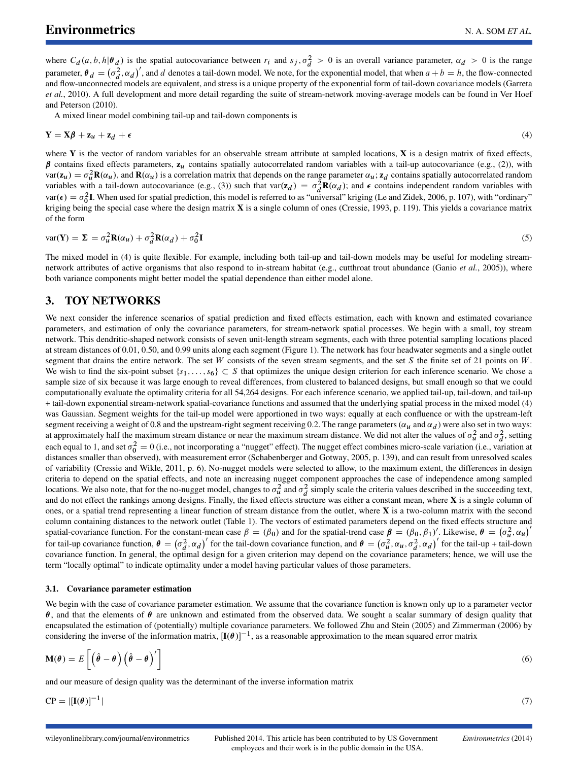# **Environmetrics** N. A. SOM *ET AL.*

where  $C_d(a, b, h | \theta_d)$  is the spatial autocovariance between  $r_i$  and  $s_j, \sigma_d^2 > 0$  is an overall variance parameter,  $\alpha_d > 0$  is the range parameter,  $\theta_d = (\sigma_d^2, \alpha_d)'$ , and d denotes a tail-down model. We note, for the exponential model, that when  $a + b = h$ , the flow-connected and flow-unconnected models are equivalent, and stress is a unique property of the exponential form of tail-down covariance models (Garreta *et al.*, 2010). A full development and more detail regarding the suite of stream-network moving-average models can be found in Ver Hoef and Peterson (2010).

<span id="page-3-1"></span>A mixed linear model combining tail-up and tail-down components is

$$
Y = X\beta + z_u + z_d + \epsilon \tag{4}
$$

where **Y** is the vector of random variables for an observable stream attribute at sampled locations, **X** is a design matrix of fixed effects,  $\beta$  contains fixed effects parameters,  $z_u$  contains spatially autocorrelated random variables with a tail-up autocovariance (e.g., [\(2\)](#page-2-2)), with  $var(\mathbf{z}_u) = \sigma_u^2 \mathbf{R}(\alpha_u)$ , and  $\mathbf{R}(\alpha_u)$  is a correlation matrix that depends on the range parameter  $\alpha_u$ ;  $\mathbf{z}_d$  contains spatially autocorrelated random variables with a tail-down autocovariance (e.g., [\(3\)](#page-2-3)) such that var $(\mathbf{z}_d) = \sigma_d^2 \mathbf{R}(\alpha_d)$ ; and  $\epsilon$  contains independent random variables with  $var(\epsilon) = \sigma_0^2 I$ . When used for spatial prediction, this model is referred to as "universal" kriging (Le and Zidek, 2006, p. 107), with "ordinary" kriging being the special case where the design matrix **X** is a single column of ones (Cressie, 1993, p. 119). This yields a covariance matrix of the form

<span id="page-3-3"></span>
$$
var(\mathbf{Y}) = \mathbf{\Sigma} = \sigma_u^2 \mathbf{R}(\alpha_u) + \sigma_d^2 \mathbf{R}(\alpha_d) + \sigma_0^2 \mathbf{I}
$$
\n(5)

The mixed model in [\(4\)](#page-3-1) is quite flexible. For example, including both tail-up and tail-down models may be useful for modeling streamnetwork attributes of active organisms that also respond to in-stream habitat (e.g., cutthroat trout abundance (Ganio *et al.*, 2005)), where both variance components might better model the spatial dependence than either model alone.

# <span id="page-3-0"></span>**3. TOY NETWORKS**

We next consider the inference scenarios of spatial prediction and fixed effects estimation, each with known and estimated covariance parameters, and estimation of only the covariance parameters, for stream-network spatial processes. We begin with a small, toy stream network. This dendritic-shaped network consists of seven unit-length stream segments, each with three potential sampling locations placed at stream distances of 0.01, 0.50, and 0.99 units along each segment (Figure [1\)](#page-2-0). The network has four headwater segments and a single outlet segment that drains the entire network. The set W consists of the seven stream segments, and the set S the finite set of 21 points on W. We wish to find the six-point subset  $\{s_1,\ldots,s_6\} \subset S$  that optimizes the unique design criterion for each inference scenario. We chose a sample size of six because it was large enough to reveal differences, from clustered to balanced designs, but small enough so that we could computationally evaluate the optimality criteria for all 54,264 designs. For each inference scenario, we applied tail-up, tail-down, and tail-up + tail-down exponential stream-network spatial-covariance functions and assumed that the underlying spatial process in the mixed model [\(4\)](#page-3-1) was Gaussian. Segment weights for the tail-up model were apportioned in two ways: equally at each confluence or with the upstream-left segment receiving a weight of 0.8 and the upstream-right segment receiving 0.2. The range parameters ( $\alpha_u$  and  $\alpha_d$ ) were also set in two ways: at approximately half the maximum stream distance or near the maximum stream distance. We did not alter the values of  $\sigma_u^2$  and  $\sigma_d^2$ , setting each equal to 1, and set  $\sigma_0^2 = 0$  (i.e., not incorporating a "nugget" effect). The nugget effect combines micro-scale variation (i.e., variation at distances smaller than observed), with measurement error (Schabenberger and Gotway, 2005, p. 139), and can result from unresolved scales of variability (Cressie and Wikle, 2011, p. 6). No-nugget models were selected to allow, to the maximum extent, the differences in design criteria to depend on the spatial effects, and note an increasing nugget component approaches the case of independence among sampled locations. We also note, that for the no-nugget model, changes to  $\sigma_u^2$  and  $\sigma_d^2$  simply scale the criteria values described in the succeeding text, and do not effect the rankings among designs. Finally, the fixed effects structure was either a constant mean, where **X** is a single column of ones, or a spatial trend representing a linear function of stream distance from the outlet, where **X** is a two-column matrix with the second column containing distances to the network outlet (Table [1\)](#page-4-0). The vectors of estimated parameters depend on the fixed effects structure and spatial-covariance function. For the constant-mean case  $\beta = (\beta_0)$  and for the spatial-trend case  $\beta = (\beta_0, \beta_1)'$ . Likewise,  $\theta = (\sigma_u^2, \alpha_u)'$ for tail-up covariance function,  $\theta = (\sigma_d^2, \alpha_d)'$  for the tail-down covariance function, and  $\theta = (\sigma_u^2, \alpha_u, \sigma_d^2, \alpha_d)'$  for the tail-up + tail-down covariance function. In general, the optimal design for a given criterion may depend on the covariance parameters; hence, we will use the term "locally optimal" to indicate optimality under a model having particular values of those parameters.

#### **3.1. Covariance parameter estimation**

We begin with the case of covariance parameter estimation. We assume that the covariance function is known only up to a parameter vector  $\theta$ , and that the elements of  $\theta$  are unknown and estimated from the observed data. We sought a scalar summary of design quality that encapsulated the estimation of (potentially) multiple covariance parameters. We followed Zhu and Stein (2005) and Zimmerman (2006) by considering the inverse of the information matrix,  $[I(\theta)]^{-1}$ , as a reasonable approximation to the mean squared error matrix

$$
\mathbf{M}(\boldsymbol{\theta}) = E\left[\left(\hat{\boldsymbol{\theta}} - \boldsymbol{\theta}\right)\left(\hat{\boldsymbol{\theta}} - \boldsymbol{\theta}\right)'\right]
$$
\n(6)

and our measure of design quality was the determinant of the inverse information matrix

<span id="page-3-2"></span> $CP = |[I(\theta)]^{-}$  $\frac{1}{2}$  (7)

wileyonlinelibrary.com/journal/environmetrics Published 2014. This article has been contributed to by US Government employees and their work is in the public domain in the USA.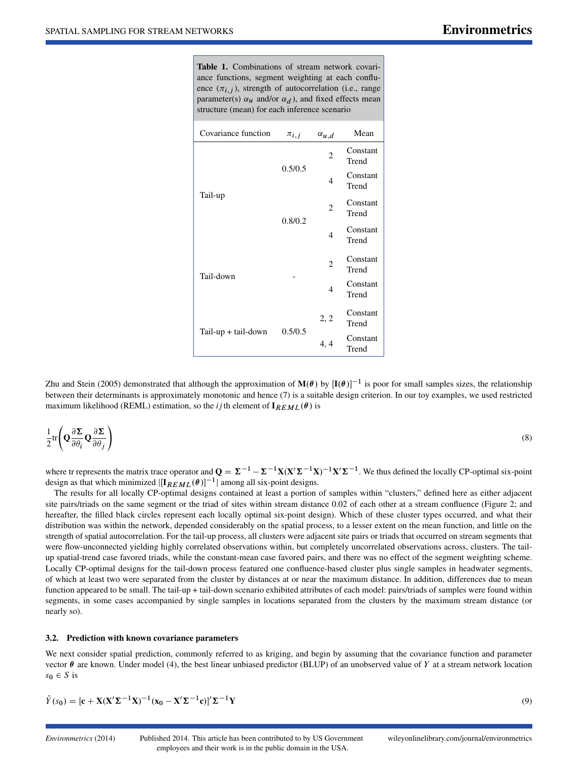<span id="page-4-0"></span>**Table 1.** Combinations of stream network covariance functions, segment weighting at each confluence  $(\pi_{i,j})$ , strength of autocorrelation (i.e., range parameter(s)  $\alpha_u$  and/or  $\alpha_d$ ), and fixed effects mean structure (mean) for each inference scenario

| Covariance function | $\pi_{i,j}$ | $\alpha_{u,d}$ | Mean              |
|---------------------|-------------|----------------|-------------------|
|                     |             | 2              | Constant<br>Trend |
| Tail-up             | 0.5/0.5     | 4              | Constant<br>Trend |
|                     |             | 2              | Constant<br>Trend |
|                     | 0.8/0.2     | $\overline{4}$ | Constant<br>Trend |
| Tail-down           |             | $\overline{c}$ | Constant<br>Trend |
|                     |             | 4              | Constant<br>Trend |
| Tail-up + tail-down |             | 2, 2           | Constant<br>Trend |
|                     | 0.5/0.5     | 4, 4           | Constant<br>Trend |

Zhu and Stein (2005) demonstrated that although the approximation of  $M(\theta)$  by  $[I(\theta)]^{-1}$  is poor for small samples sizes, the relationship between their determinants is approximately monotonic and hence [\(7\)](#page-3-2) is a suitable design criterion. In our toy examples, we used restricted maximum likelihood (REML) estimation, so the *ij* th element of  $I_{REML}(\theta)$  is

$$
\frac{1}{2} \text{tr} \left( \mathbf{Q} \frac{\partial \mathbf{\Sigma}}{\partial \theta_i} \mathbf{Q} \frac{\partial \mathbf{\Sigma}}{\partial \theta_j} \right) \tag{8}
$$

where tr represents the matrix trace operator and  $\mathbf{Q} = \mathbf{\Sigma}^{-1} - \mathbf{\Sigma}^{-1}\mathbf{X}(\mathbf{X}'\mathbf{\Sigma}^{-1}\mathbf{X})^{-1}\mathbf{X}'\mathbf{\Sigma}^{-1}$ . We thus defined the locally CP-optimal six-point design as that which minimized  $\left|\left[\mathbf{I}_{REML}(\theta)\right]^{-1}\right|$  among all six-point designs.

The results for all locally CP-optimal designs contained at least a portion of samples within "clusters," defined here as either adjacent site pairs/triads on the same segment or the triad of sites within stream distance 0.02 of each other at a stream confluence (Figure [2;](#page-5-0) and hereafter, the filled black circles represent each locally optimal six-point design). Which of these cluster types occurred, and what their distribution was within the network, depended considerably on the spatial process, to a lesser extent on the mean function, and little on the strength of spatial autocorrelation. For the tail-up process, all clusters were adjacent site pairs or triads that occurred on stream segments that were flow-unconnected yielding highly correlated observations within, but completely uncorrelated observations across, clusters. The tailup spatial-trend case favored triads, while the constant-mean case favored pairs, and there was no effect of the segment weighting scheme. Locally CP-optimal designs for the tail-down process featured one confluence-based cluster plus single samples in headwater segments, of which at least two were separated from the cluster by distances at or near the maximum distance. In addition, differences due to mean function appeared to be small. The tail-up + tail-down scenario exhibited attributes of each model: pairs/triads of samples were found within segments, in some cases accompanied by single samples in locations separated from the clusters by the maximum stream distance (or nearly so).

#### **3.2. Prediction with known covariance parameters**

<span id="page-4-1"></span>We next consider spatial prediction, commonly referred to as kriging, and begin by assuming that the covariance function and parameter vector  $\theta$  are known. Under model [\(4\)](#page-3-1), the best linear unbiased predictor (BLUP) of an unobserved value of Y at a stream network location  $s_0 \in S$  is

$$
\hat{Y}(s_0) = [\mathbf{c} + \mathbf{X}(\mathbf{X}'\mathbf{\Sigma}^{-1}\mathbf{X})^{-1}(\mathbf{x}_0 - \mathbf{X}'\mathbf{\Sigma}^{-1}\mathbf{c})]' \mathbf{\Sigma}^{-1}\mathbf{Y}
$$

<sup>1</sup>**Y** (9)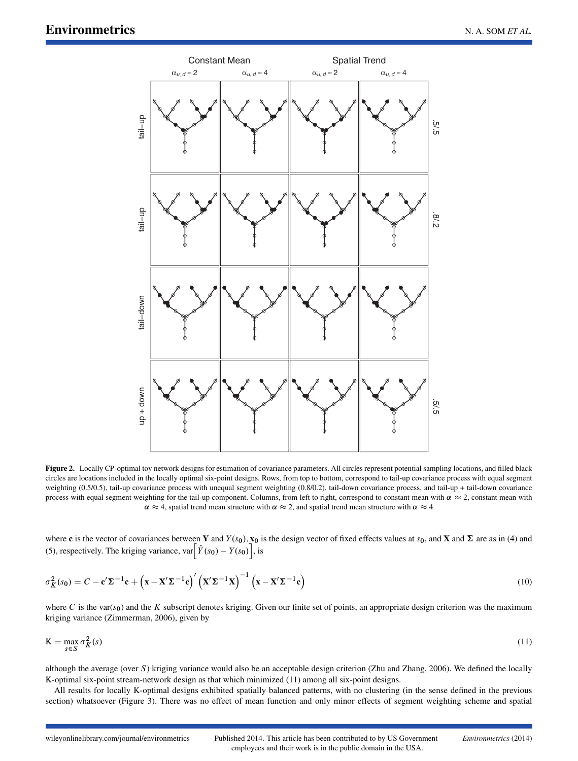

<span id="page-5-0"></span>**Figure 2.** Locally CP-optimal toy network designs for estimation of covariance parameters. All circles represent potential sampling locations, and filled black circles are locations included in the locally optimal six-point designs. Rows, from top to bottom, correspond to tail-up covariance process with equal segment weighting (0.5/0.5), tail-up covariance process with unequal segment weighting (0.8/0.2), tail-down covariance process, and tail-up + tail-down covariance process with equal segment weighting for the tail-up component. Columns, from left to right, correspond to constant mean with  $\alpha \approx 2$ , constant mean with  $\alpha \approx 4$ , spatial trend mean structure with  $\alpha \approx 2$ , and spatial trend mean structure with  $\alpha \approx 4$ 

where **c** is the vector of covariances between **Y** and  $Y(s_0)$ ,  $\mathbf{x}_0$  is the design vector of fixed effects values at  $s_0$ , and **X** and **X** are as in [\(4\)](#page-3-1) and [\(5\)](#page-3-3), respectively. The kriging variance,  $\text{var}[\hat{Y}(s_0) - Y(s_0)]$ , is

$$
\sigma_K^2(s_0) = C - \mathbf{c}' \Sigma^{-1} \mathbf{c} + \left(\mathbf{x} - \mathbf{X}' \Sigma^{-1} \mathbf{c}\right)' \left(\mathbf{X}' \Sigma^{-1} \mathbf{X}\right)^{-1} \left(\mathbf{x} - \mathbf{X}' \Sigma^{-1} \mathbf{c}\right)
$$
\n(10)

<span id="page-5-1"></span>where C is the var( $s_0$ ) and the K subscript denotes kriging. Given our finite set of points, an appropriate design criterion was the maximum kriging variance (Zimmerman, 2006), given by

$$
K = \max_{s \in S} \sigma_K^2(s) \tag{11}
$$

although the average (over S) kriging variance would also be an acceptable design criterion (Zhu and Zhang, 2006). We defined the locally K-optimal six-point stream-network design as that which minimized [\(11\)](#page-5-1) among all six-point designs.

All results for locally K-optimal designs exhibited spatially balanced patterns, with no clustering (in the sense defined in the previous section) whatsoever (Figure [3\)](#page-6-0). There was no effect of mean function and only minor effects of segment weighting scheme and spatial

wileyonlinelibrary.com/journal/environmetrics Published 2014. This article has been contributed to by US Government employees and their work is in the public domain in the USA.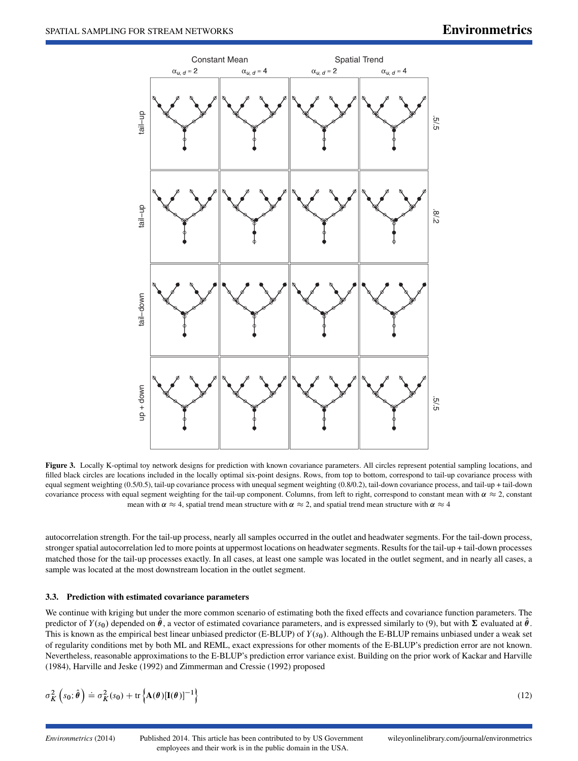

<span id="page-6-0"></span>**Figure 3.** Locally K-optimal toy network designs for prediction with known covariance parameters. All circles represent potential sampling locations, and filled black circles are locations included in the locally optimal six-point designs. Rows, from top to bottom, correspond to tail-up covariance process with equal segment weighting  $(0.5/0.5)$ , tail-up covariance process with unequal segment weighting  $(0.8/0.2)$ , tail-down covariance process, and tail-up + tail-down covariance process with equal segment weighting for the tail-up component. Columns, from left to right, correspond to constant mean with  $\alpha \approx 2$ , constant mean with  $\alpha \approx 4$ , spatial trend mean structure with  $\alpha \approx 2$ , and spatial trend mean structure with  $\alpha \approx 4$ 

autocorrelation strength. For the tail-up process, nearly all samples occurred in the outlet and headwater segments. For the tail-down process, stronger spatial autocorrelation led to more points at uppermost locations on headwater segments. Results for the tail-up + tail-down processes matched those for the tail-up processes exactly. In all cases, at least one sample was located in the outlet segment, and in nearly all cases, a sample was located at the most downstream location in the outlet segment.

#### <span id="page-6-1"></span>**3.3. Prediction with estimated covariance parameters**

We continue with kriging but under the more common scenario of estimating both the fixed effects and covariance function parameters. The predictor of  $Y(s_0)$  depended on  $\hat{\theta}$ , a vector of estimated covariance parameters, and is expressed similarly to [\(9\)](#page-4-1), but with  $\Sigma$  evaluated at  $\hat{\theta}$ . This is known as the empirical best linear unbiased predictor (E-BLUP) of  $Y(s_0)$ . Although the E-BLUP remains unbiased under a weak set of regularity conditions met by both ML and REML, exact expressions for other moments of the E-BLUP's prediction error are not known. Nevertheless, reasonable approximations to the E-BLUP's prediction error variance exist. Building on the prior work of Kackar and Harville (1984), Harville and Jeske (1992) and Zimmerman and Cressie (1992) proposed

$$
\sigma_K^2\left(s_0;\hat{\boldsymbol{\theta}}\right) \doteq \sigma_K^2(s_0) + \text{tr}\left\{\mathbf{A}(\boldsymbol{\theta})[\mathbf{I}(\boldsymbol{\theta})]^{-1}\right\}
$$

<span id="page-6-2"></span>(12)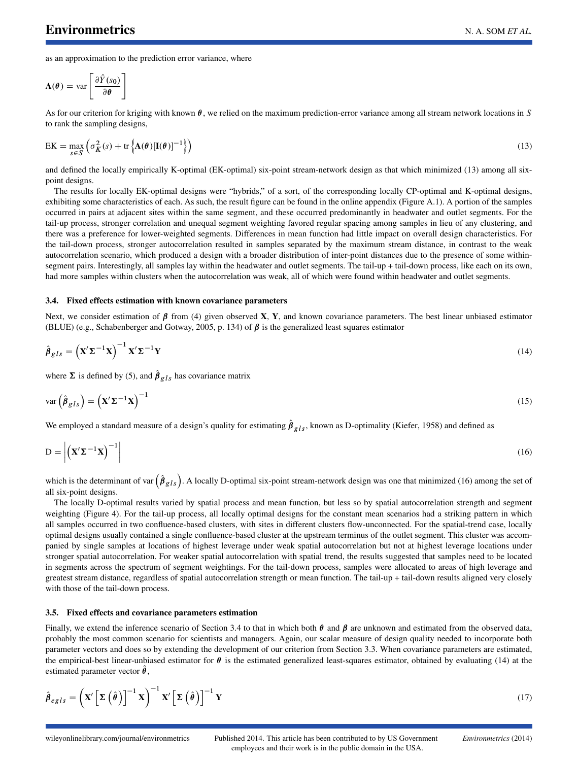as an approximation to the prediction error variance, where

$$
\mathbf{A}(\boldsymbol{\theta}) = \text{var}\left[\frac{\partial \hat{Y}(s_0)}{\partial \boldsymbol{\theta}}\right]
$$

<span id="page-7-0"></span>As for our criterion for kriging with known  $\theta$ , we relied on the maximum prediction-error variance among all stream network locations in S to rank the sampling designs,

$$
EK = \max_{s \in S} \left( \sigma_K^2(s) + \text{tr} \left\{ A(\theta) [\mathbf{I}(\theta)]^{-1} \right\} \right)
$$
(13)

and defined the locally empirically K-optimal (EK-optimal) six-point stream-network design as that which minimized [\(13\)](#page-7-0) among all sixpoint designs.

The results for locally EK-optimal designs were "hybrids," of a sort, of the corresponding locally CP-optimal and K-optimal designs, exhibiting some characteristics of each. As such, the result figure can be found in the online appendix (Figure A.1). A portion of the samples occurred in pairs at adjacent sites within the same segment, and these occurred predominantly in headwater and outlet segments. For the tail-up process, stronger correlation and unequal segment weighting favored regular spacing among samples in lieu of any clustering, and there was a preference for lower-weighted segments. Differences in mean function had little impact on overall design characteristics. For the tail-down process, stronger autocorrelation resulted in samples separated by the maximum stream distance, in contrast to the weak autocorrelation scenario, which produced a design with a broader distribution of inter-point distances due to the presence of some withinsegment pairs. Interestingly, all samples lay within the headwater and outlet segments. The tail-up + tail-down process, like each on its own, had more samples within clusters when the autocorrelation was weak, all of which were found within headwater and outlet segments.

#### <span id="page-7-2"></span>**3.4. Fixed effects estimation with known covariance parameters**

<span id="page-7-3"></span>Next, we consider estimation of  $\beta$  from [\(4\)](#page-3-1) given observed **X**, **Y**, and known covariance parameters. The best linear unbiased estimator (BLUE) (e.g., Schabenberger and Gotway, 2005, p. 134) of  $\beta$  is the generalized least squares estimator

$$
\hat{\boldsymbol{\beta}}_{gls} = \left(\mathbf{X}'\mathbf{\Sigma}^{-1}\mathbf{X}\right)^{-1}\mathbf{X}'\mathbf{\Sigma}^{-1}\mathbf{Y}
$$
\n(14)

where  $\Sigma$  is defined by [\(5\)](#page-3-3), and  $\hat{\beta}_{gls}$  has covariance matrix

$$
\text{var}\left(\hat{\boldsymbol{\beta}}_{gls}\right) = \left(\mathbf{X}'\mathbf{\Sigma}^{-1}\mathbf{X}\right)^{-1} \tag{15}
$$

We employed a standard measure of a design's quality for estimating  $\hat{\beta}_{gls}$ , known as D-optimality (Kiefer, 1958) and defined as

$$
D = \left| \left( \mathbf{X}' \mathbf{\Sigma}^{-1} \mathbf{X} \right)^{-1} \right| \tag{16}
$$

which is the determinant of var  $(\hat{\beta}_{gls})$ . A locally D-optimal six-point stream-network design was one that minimized [\(16\)](#page-7-1) among the set of all six-point designs.

The locally D-optimal results varied by spatial process and mean function, but less so by spatial autocorrelation strength and segment weighting (Figure [4\)](#page-8-0). For the tail-up process, all locally optimal designs for the constant mean scenarios had a striking pattern in which all samples occurred in two confluence-based clusters, with sites in different clusters flow-unconnected. For the spatial-trend case, locally optimal designs usually contained a single confluence-based cluster at the upstream terminus of the outlet segment. This cluster was accompanied by single samples at locations of highest leverage under weak spatial autocorrelation but not at highest leverage locations under stronger spatial autocorrelation. For weaker spatial autocorrelation with spatial trend, the results suggested that samples need to be located in segments across the spectrum of segment weightings. For the tail-down process, samples were allocated to areas of high leverage and greatest stream distance, regardless of spatial autocorrelation strength or mean function. The tail-up + tail-down results aligned very closely with those of the tail-down process.

#### **3.5. Fixed effects and covariance parameters estimation**

Finally, we extend the inference scenario of Section [3.4](#page-7-2) to that in which both  $\theta$  and  $\beta$  are unknown and estimated from the observed data, probably the most common scenario for scientists and managers. Again, our scalar measure of design quality needed to incorporate both parameter vectors and does so by extending the development of our criterion from Section [3.3.](#page-6-1) When covariance parameters are estimated, the empirical-best linear-unbiased estimator for  $\theta$  is the estimated generalized least-squares estimator, obtained by evaluating [\(14\)](#page-7-3) at the estimated parameter vector  $\hat{\theta}$ ,

$$
\hat{\beta}_{egls} = \left(\mathbf{X}'\left[\mathbf{\Sigma}(\hat{\boldsymbol{\theta}})\right]^{-1}\mathbf{X}\right)^{-1}\mathbf{X}'\left[\mathbf{\Sigma}(\hat{\boldsymbol{\theta}})\right]^{-1}\mathbf{Y}
$$

<span id="page-7-1"></span>**Y** (17)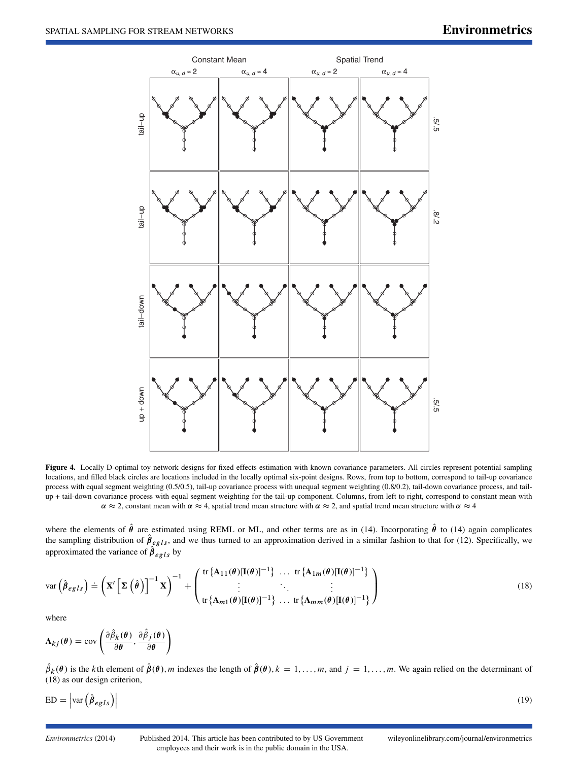

<span id="page-8-0"></span>**Figure 4.** Locally D-optimal toy network designs for fixed effects estimation with known covariance parameters. All circles represent potential sampling locations, and filled black circles are locations included in the locally optimal six-point designs. Rows, from top to bottom, correspond to tail-up covariance process with equal segment weighting (0.5/0.5), tail-up covariance process with unequal segment weighting (0.8/0.2), tail-down covariance process, and tailup + tail-down covariance process with equal segment weighting for the tail-up component. Columns, from left to right, correspond to constant mean with  $\alpha \approx 2$ , constant mean with  $\alpha \approx 4$ , spatial trend mean structure with  $\alpha \approx 2$ , and spatial trend mean structure with  $\alpha \approx 4$ 

where the elements of  $\hat{\theta}$  are estimated using REML or ML, and other terms are as in [\(14\)](#page-7-3). Incorporating  $\hat{\theta}$  to (14) again complicates the sampling distribution of  $\beta_{egls}$ , and we thus turned to an approximation derived in a similar fashion to that for [\(12\)](#page-6-2). Specifically, we approximated the variance of  $\hat{\beta}_{e}$ <sub>egls</sub> by

<span id="page-8-1"></span>
$$
\text{var}\left(\hat{\beta}_{egls}\right) = \left(\mathbf{X}'\left[\mathbf{\Sigma}\left(\hat{\theta}\right)\right]^{-1}\mathbf{X}\right)^{-1} + \begin{pmatrix} \text{tr}\left\{\mathbf{A}_{11}(\theta)[\mathbf{I}(\theta)]^{-1}\right\} & \dots & \text{tr}\left\{\mathbf{A}_{1m}(\theta)[\mathbf{I}(\theta)]^{-1}\right\} \\ \vdots & \ddots & \vdots \\ \text{tr}\left\{\mathbf{A}_{m1}(\theta)[\mathbf{I}(\theta)]^{-1}\right\} & \dots & \text{tr}\left\{\mathbf{A}_{mm}(\theta)[\mathbf{I}(\theta)]^{-1}\right\} \end{pmatrix}
$$
(18)

where

$$
\mathbf{A}_{kj}(\boldsymbol{\theta}) = \text{cov}\left(\frac{\partial \hat{\beta}_k(\boldsymbol{\theta})}{\partial \boldsymbol{\theta}}, \frac{\partial \hat{\beta}_j(\boldsymbol{\theta})}{\partial \boldsymbol{\theta}}\right)
$$

<span id="page-8-2"></span> $\hat{\beta}_k(\theta)$  is the kth element of  $\hat{\beta}(\theta)$ , m indexes the length of  $\hat{\beta}(\theta)$ ,  $k = 1, ..., m$ , and  $j = 1, ..., m$ . We again relied on the determinant of [\(18\)](#page-8-1) as our design criterion,

$$
ED = \left| var \left( \hat{\boldsymbol{\beta}}_{egls} \right) \right| \tag{19}
$$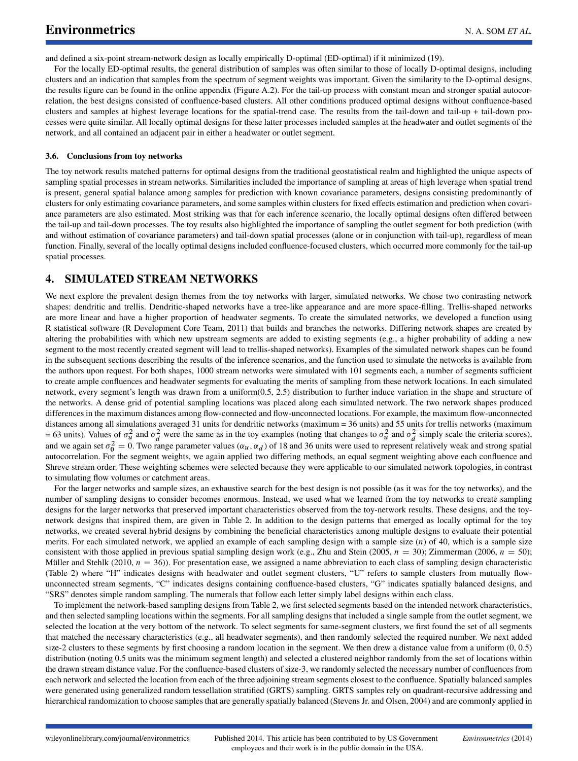and defined a six-point stream-network design as locally empirically D-optimal (ED-optimal) if it minimized [\(19\)](#page-8-2).

For the locally ED-optimal results, the general distribution of samples was often similar to those of locally D-optimal designs, including clusters and an indication that samples from the spectrum of segment weights was important. Given the similarity to the D-optimal designs, the results figure can be found in the online appendix (Figure A.2). For the tail-up process with constant mean and stronger spatial autocorrelation, the best designs consisted of confluence-based clusters. All other conditions produced optimal designs without confluence-based clusters and samples at highest leverage locations for the spatial-trend case. The results from the tail-down and tail-up + tail-down processes were quite similar. All locally optimal designs for these latter processes included samples at the headwater and outlet segments of the network, and all contained an adjacent pair in either a headwater or outlet segment.

#### **3.6. Conclusions from toy networks**

The toy network results matched patterns for optimal designs from the traditional geostatistical realm and highlighted the unique aspects of sampling spatial processes in stream networks. Similarities included the importance of sampling at areas of high leverage when spatial trend is present, general spatial balance among samples for prediction with known covariance parameters, designs consisting predominantly of clusters for only estimating covariance parameters, and some samples within clusters for fixed effects estimation and prediction when covariance parameters are also estimated. Most striking was that for each inference scenario, the locally optimal designs often differed between the tail-up and tail-down processes. The toy results also highlighted the importance of sampling the outlet segment for both prediction (with and without estimation of covariance parameters) and tail-down spatial processes (alone or in conjunction with tail-up), regardless of mean function. Finally, several of the locally optimal designs included confluence-focused clusters, which occurred more commonly for the tail-up spatial processes.

# <span id="page-9-0"></span>**4. SIMULATED STREAM NETWORKS**

We next explore the prevalent design themes from the toy networks with larger, simulated networks. We chose two contrasting network shapes: dendritic and trellis. Dendritic-shaped networks have a tree-like appearance and are more space-filling. Trellis-shaped networks are more linear and have a higher proportion of headwater segments. To create the simulated networks, we developed a function using R statistical software (R Development Core Team, 2011) that builds and branches the networks. Differing network shapes are created by altering the probabilities with which new upstream segments are added to existing segments (e.g., a higher probability of adding a new segment to the most recently created segment will lead to trellis-shaped networks). Examples of the simulated network shapes can be found in the subsequent sections describing the results of the inference scenarios, and the function used to simulate the networks is available from the authors upon request. For both shapes, 1000 stream networks were simulated with 101 segments each, a number of segments sufficient to create ample confluences and headwater segments for evaluating the merits of sampling from these network locations. In each simulated network, every segment's length was drawn from a uniform(0.5, 2.5) distribution to further induce variation in the shape and structure of the networks. A dense grid of potential sampling locations was placed along each simulated network. The two network shapes produced differences in the maximum distances among flow-connected and flow-unconnected locations. For example, the maximum flow-unconnected distances among all simulations averaged 31 units for dendritic networks (maximum = 36 units) and 55 units for trellis networks (maximum = 63 units). Values of  $\sigma_u^2$  and  $\sigma_d^2$  were the same as in the toy examples (noting that changes to  $\sigma_u^2$  and  $\sigma_d^2$  simply scale the criteria scores), and we again set  $\sigma_0^2 = 0$ . Two range parameter values  $(\alpha_u, \alpha_d)$  of 18 and 36 units were used to represent relatively weak and strong spatial autocorrelation. For the segment weights, we again applied two differing methods, an equal segment weighting above each confluence and Shreve stream order. These weighting schemes were selected because they were applicable to our simulated network topologies, in contrast to simulating flow volumes or catchment areas.

For the larger networks and sample sizes, an exhaustive search for the best design is not possible (as it was for the toy networks), and the number of sampling designs to consider becomes enormous. Instead, we used what we learned from the toy networks to create sampling designs for the larger networks that preserved important characteristics observed from the toy-network results. These designs, and the toynetwork designs that inspired them, are given in Table [2.](#page-10-0) In addition to the design patterns that emerged as locally optimal for the toy networks, we created several hybrid designs by combining the beneficial characteristics among multiple designs to evaluate their potential merits. For each simulated network, we applied an example of each sampling design with a sample size  $(n)$  of 40, which is a sample size consistent with those applied in previous spatial sampling design work (e.g., Zhu and Stein (2005,  $n = 30$ ); Zimmerman (2006,  $n = 50$ ); Müller and Stehlk (2010,  $n = 36$ ). For presentation ease, we assigned a name abbreviation to each class of sampling design characteristic (Table [2\)](#page-10-0) where "H" indicates designs with headwater and outlet segment clusters, "U" refers to sample clusters from mutually flowunconnected stream segments, "C" indicates designs containing confluence-based clusters, "G" indicates spatially balanced designs, and "SRS" denotes simple random sampling. The numerals that follow each letter simply label designs within each class.

To implement the network-based sampling designs from Table [2,](#page-10-0) we first selected segments based on the intended network characteristics, and then selected sampling locations within the segments. For all sampling designs that included a single sample from the outlet segment, we selected the location at the very bottom of the network. To select segments for same-segment clusters, we first found the set of all segments that matched the necessary characteristics (e.g., all headwater segments), and then randomly selected the required number. We next added size-2 clusters to these segments by first choosing a random location in the segment. We then drew a distance value from a uniform  $(0, 0.5)$ distribution (noting 0.5 units was the minimum segment length) and selected a clustered neighbor randomly from the set of locations within the drawn stream distance value. For the confluence-based clusters of size-3, we randomly selected the necessary number of confluences from each network and selected the location from each of the three adjoining stream segments closest to the confluence. Spatially balanced samples were generated using generalized random tessellation stratified (GRTS) sampling. GRTS samples rely on quadrant-recursive addressing and hierarchical randomization to choose samples that are generally spatially balanced (Stevens Jr. and Olsen, 2004) and are commonly applied in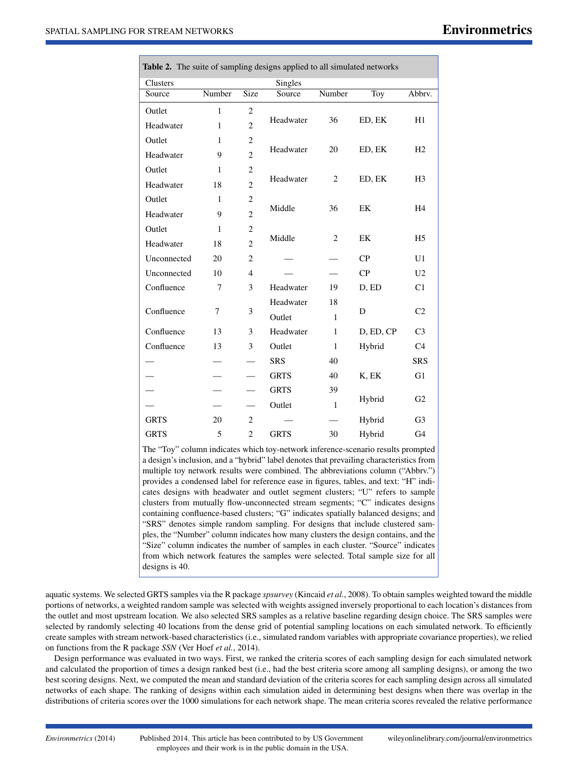| <b>Environmetrics</b> |
|-----------------------|
|                       |
|                       |

<span id="page-10-0"></span>

| Table 2. The suite of sampling designs applied to all simulated networks         |              |                |             |                |           |                |  |  |
|----------------------------------------------------------------------------------|--------------|----------------|-------------|----------------|-----------|----------------|--|--|
| Clusters<br>Singles                                                              |              |                |             |                |           |                |  |  |
| Source                                                                           | Number       | Size           | Source      | Number         | Toy       | Abbrv.         |  |  |
| Outlet                                                                           | $\mathbf{1}$ | $\overline{c}$ |             |                |           | H1             |  |  |
| Headwater                                                                        | $\mathbf{1}$ | $\overline{c}$ | Headwater   | 36             | ED, EK    |                |  |  |
| Outlet                                                                           | 1            | $\overline{2}$ |             |                |           |                |  |  |
| Headwater                                                                        | 9            | $\overline{c}$ | Headwater   | 20             | ED, EK    | H2             |  |  |
| Outlet                                                                           | 1            | $\overline{c}$ |             |                |           |                |  |  |
| Headwater                                                                        | 18           | $\mathbf{2}$   | Headwater   | $\overline{2}$ | ED, EK    | H <sub>3</sub> |  |  |
| Outlet                                                                           | $\mathbf{1}$ | $\overline{c}$ |             |                |           |                |  |  |
| Headwater                                                                        | 9            | $\overline{c}$ | Middle      | 36             | EK        | H <sub>4</sub> |  |  |
| Outlet                                                                           | $\mathbf{1}$ | $\overline{2}$ |             |                | EK        |                |  |  |
| Headwater                                                                        | 18           | $\overline{c}$ | Middle      | $\overline{2}$ |           | H <sub>5</sub> |  |  |
| Unconnected                                                                      | 20           | $\overline{c}$ |             |                | CP        | U1             |  |  |
| Unconnected                                                                      | 10           | $\overline{4}$ |             |                | CP        | U <sub>2</sub> |  |  |
| Confluence                                                                       | 7            | 3              | Headwater   | 19             | D, ED     | C1             |  |  |
| Confluence                                                                       |              | 3              | Headwater   | 18             |           |                |  |  |
|                                                                                  | 7            |                | Outlet      | $\mathbf{1}$   | D         | C <sub>2</sub> |  |  |
| Confluence                                                                       | 13           | 3              | Headwater   | $\mathbf{1}$   | D, ED, CP | C <sub>3</sub> |  |  |
| Confluence                                                                       | 13           | 3              | Outlet      | $\mathbf{1}$   | Hybrid    | C <sub>4</sub> |  |  |
|                                                                                  |              |                | <b>SRS</b>  | 40             |           | <b>SRS</b>     |  |  |
|                                                                                  |              |                | <b>GRTS</b> | 40             | K, EK     | G1             |  |  |
|                                                                                  |              |                | <b>GRTS</b> | 39             |           |                |  |  |
|                                                                                  |              |                | Outlet      | $\mathbf{1}$   | Hybrid    | G2             |  |  |
| <b>GRTS</b>                                                                      | 20           | $\overline{c}$ |             |                | Hybrid    | G <sub>3</sub> |  |  |
| <b>GRTS</b>                                                                      | 5            | $\overline{2}$ | <b>GRTS</b> | 30             | Hybrid    | G <sub>4</sub> |  |  |
| The "Toy" column indicates which toy-network inference-scenario results prompted |              |                |             |                |           |                |  |  |

a design's inclusion, and a "hybrid" label denotes that prevailing characteristics from multiple toy network results were combined. The abbreviations column ("Abbrv.") provides a condensed label for reference ease in figures, tables, and text: "H" indicates designs with headwater and outlet segment clusters; "U" refers to sample clusters from mutually flow-unconnected stream segments; "C" indicates designs containing confluence-based clusters; "G" indicates spatially balanced designs; and "SRS" denotes simple random sampling. For designs that include clustered samples, the "Number" column indicates how many clusters the design contains, and the "Size" column indicates the number of samples in each cluster. "Source" indicates from which network features the samples were selected. Total sample size for all designs is 40.

aquatic systems. We selected GRTS samples via the R package *spsurvey* (Kincaid *et al.*, 2008). To obtain samples weighted toward the middle portions of networks, a weighted random sample was selected with weights assigned inversely proportional to each location's distances from the outlet and most upstream location. We also selected SRS samples as a relative baseline regarding design choice. The SRS samples were selected by randomly selecting 40 locations from the dense grid of potential sampling locations on each simulated network. To efficiently create samples with stream network-based characteristics (i.e., simulated random variables with appropriate covariance properties), we relied on functions from the R package *SSN* (Ver Hoef *et al.*, 2014).

Design performance was evaluated in two ways. First, we ranked the criteria scores of each sampling design for each simulated network and calculated the proportion of times a design ranked best (i.e., had the best criteria score among all sampling designs), or among the two best scoring designs. Next, we computed the mean and standard deviation of the criteria scores for each sampling design across all simulated networks of each shape. The ranking of designs within each simulation aided in determining best designs when there was overlap in the distributions of criteria scores over the 1000 simulations for each network shape. The mean criteria scores revealed the relative performance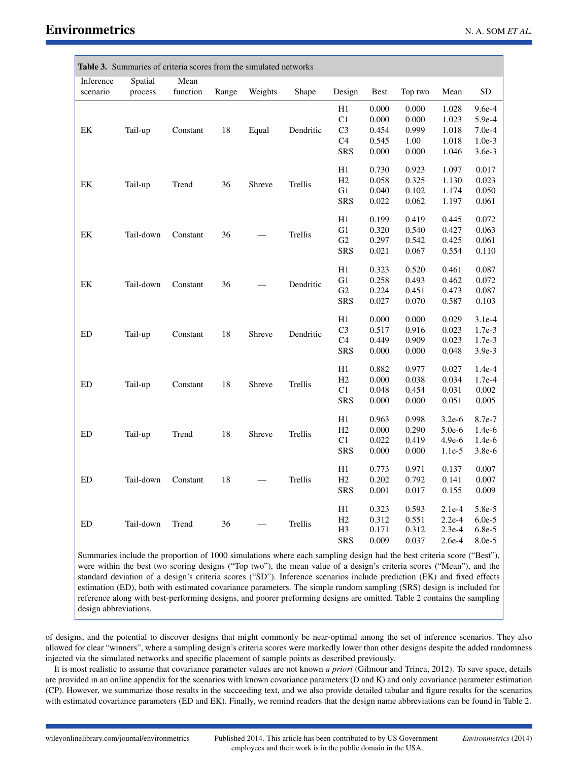# **Environmetrics** N. A. SOM *ET AL.*

<span id="page-11-0"></span>

| <b>Table 3.</b> Summaries of criteria scores from the simulated networks |                    |                  |       |         |           |                                                |                                           |                                          |                                              |                                                          |
|--------------------------------------------------------------------------|--------------------|------------------|-------|---------|-----------|------------------------------------------------|-------------------------------------------|------------------------------------------|----------------------------------------------|----------------------------------------------------------|
| Inference<br>scenario                                                    | Spatial<br>process | Mean<br>function | Range | Weights | Shape     | Design                                         | <b>Best</b>                               | Top two                                  | Mean                                         | <b>SD</b>                                                |
| EK                                                                       | Tail-up            | Constant         | 18    | Equal   | Dendritic | H1<br>C1<br>C <sub>3</sub><br>C4<br><b>SRS</b> | 0.000<br>0.000<br>0.454<br>0.545<br>0.000 | 0.000<br>0.000<br>0.999<br>1.00<br>0.000 | 1.028<br>1.023<br>1.018<br>1.018<br>1.046    | $9.6e-4$<br>$5.9e-4$<br>$7.0e-4$<br>$1.0e-3$<br>$3.6e-3$ |
| EK                                                                       | Tail-up            | Trend            | 36    | Shreve  | Trellis   | H1<br>H2<br>G1<br><b>SRS</b>                   | 0.730<br>0.058<br>0.040<br>0.022          | 0.923<br>0.325<br>0.102<br>0.062         | 1.097<br>1.130<br>1.174<br>1.197             | 0.017<br>0.023<br>0.050<br>0.061                         |
| EK                                                                       | Tail-down          | Constant         | 36    |         | Trellis   | H1<br>G1<br>G2<br><b>SRS</b>                   | 0.199<br>0.320<br>0.297<br>0.021          | 0.419<br>0.540<br>0.542<br>0.067         | 0.445<br>0.427<br>0.425<br>0.554             | 0.072<br>0.063<br>0.061<br>0.110                         |
| EK                                                                       | Tail-down          | Constant         | 36    |         | Dendritic | H1<br>G <sub>1</sub><br>G2<br><b>SRS</b>       | 0.323<br>0.258<br>0.224<br>0.027          | 0.520<br>0.493<br>0.451<br>0.070         | 0.461<br>0.462<br>0.473<br>0.587             | 0.087<br>0.072<br>0.087<br>0.103                         |
| ED                                                                       | Tail-up            | Constant         | 18    | Shreve  | Dendritic | H1<br>C <sub>3</sub><br>C4<br>SRS              | 0.000<br>0.517<br>0.449<br>0.000          | 0.000<br>0.916<br>0.909<br>0.000         | 0.029<br>0.023<br>0.023<br>0.048             | $3.1e-4$<br>$1.7e-3$<br>$1.7e-3$<br>$3.9e-3$             |
| ED                                                                       | Tail-up            | Constant         | 18    | Shreve  | Trellis   | H1<br>H <sub>2</sub><br>C1<br><b>SRS</b>       | 0.882<br>0.000<br>0.048<br>0.000          | 0.977<br>0.038<br>0.454<br>0.000         | 0.027<br>0.034<br>0.031<br>0.051             | $1.4e-4$<br>$1.7e-4$<br>0.002<br>0.005                   |
| ED                                                                       | Tail-up            | Trend            | 18    | Shreve  | Trellis   | H1<br>H <sub>2</sub><br>C1<br><b>SRS</b>       | 0.963<br>0.000<br>0.022<br>0.000          | 0.998<br>0.290<br>0.419<br>0.000         | $3.2e-6$<br>$5.0e-6$<br>$4.9e-6$<br>$1.1e-5$ | 8.7e-7<br>1.4e-6<br>$1.4e-6$<br>3.8e-6                   |
| <b>ED</b>                                                                | Tail-down          | Constant         | 18    |         | Trellis   | H1<br>H2<br><b>SRS</b>                         | 0.773<br>0.202<br>0.001                   | 0.971<br>0.792<br>0.017                  | 0.137<br>0.141<br>0.155                      | 0.007<br>0.007<br>0.009                                  |
| ED                                                                       | Tail-down          | Trend            | 36    |         | Trellis   | H1<br>H2<br>H <sub>3</sub><br><b>SRS</b>       | 0.323<br>0.312<br>0.171<br>0.009          | 0.593<br>0.551<br>0.312<br>0.037         | $2.1e-4$<br>$2.2e-4$<br>$2.3e-4$<br>$2.6e-4$ | 5.8e-5<br>$6.0e-5$<br>$6.8e-5$<br>$8.0e-5$               |

Summaries include the proportion of 1000 simulations where each sampling design had the best criteria score ("Best"), were within the best two scoring designs ("Top two"), the mean value of a design's criteria scores ("Mean"), and the standard deviation of a design's criteria scores ("SD"). Inference scenarios include prediction (EK) and fixed effects estimation (ED), both with estimated covariance parameters. The simple random sampling (SRS) design is included for reference along with best-performing designs, and poorer preforming designs are omitted. Table [2](#page-10-0) contains the sampling design abbreviations.

of designs, and the potential to discover designs that might commonly be near-optimal among the set of inference scenarios. They also allowed for clear "winners", where a sampling design's criteria scores were markedly lower than other designs despite the added randomness injected via the simulated networks and specific placement of sample points as described previously.

It is most realistic to assume that covariance parameter values are not known *a priori* (Gilmour and Trinca, 2012). To save space, details are provided in an online appendix for the scenarios with known covariance parameters (D and K) and only covariance parameter estimation (CP). However, we summarize those results in the succeeding text, and we also provide detailed tabular and figure results for the scenarios with estimated covariance parameters (ED and EK). Finally, we remind readers that the design name abbreviations can be found in Table [2.](#page-10-0)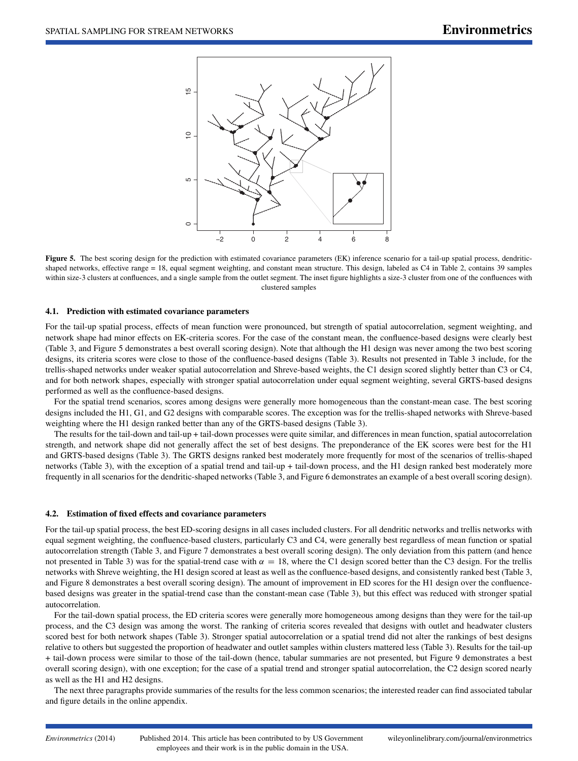

<span id="page-12-0"></span>Figure 5. The best scoring design for the prediction with estimated covariance parameters (EK) inference scenario for a tail-up spatial process, dendriticshaped networks, effective range = 18, equal segment weighting, and constant mean structure. This design, labeled as C4 in Table [2,](#page-10-0) contains 39 samples within size-3 clusters at confluences, and a single sample from the outlet segment. The inset figure highlights a size-3 cluster from one of the confluences with clustered samples

#### **4.1. Prediction with estimated covariance parameters**

For the tail-up spatial process, effects of mean function were pronounced, but strength of spatial autocorrelation, segment weighting, and network shape had minor effects on EK-criteria scores. For the case of the constant mean, the confluence-based designs were clearly best (Table [3,](#page-11-0) and Figure [5](#page-12-0) demonstrates a best overall scoring design). Note that although the H1 design was never among the two best scoring designs, its criteria scores were close to those of the confluence-based designs (Table [3\)](#page-11-0). Results not presented in Table [3](#page-11-0) include, for the trellis-shaped networks under weaker spatial autocorrelation and Shreve-based weights, the C1 design scored slightly better than C3 or C4, and for both network shapes, especially with stronger spatial autocorrelation under equal segment weighting, several GRTS-based designs performed as well as the confluence-based designs.

For the spatial trend scenarios, scores among designs were generally more homogeneous than the constant-mean case. The best scoring designs included the H1, G1, and G2 designs with comparable scores. The exception was for the trellis-shaped networks with Shreve-based weighting where the H1 design ranked better than any of the GRTS-based designs (Table [3\)](#page-11-0).

The results for the tail-down and tail-up + tail-down processes were quite similar, and differences in mean function, spatial autocorrelation strength, and network shape did not generally affect the set of best designs. The preponderance of the EK scores were best for the H1 and GRTS-based designs (Table [3\)](#page-11-0). The GRTS designs ranked best moderately more frequently for most of the scenarios of trellis-shaped networks (Table [3\)](#page-11-0), with the exception of a spatial trend and tail-up + tail-down process, and the H1 design ranked best moderately more frequently in all scenarios for the dendritic-shaped networks (Table [3,](#page-11-0) and Figure [6](#page-13-0) demonstrates an example of a best overall scoring design).

#### **4.2. Estimation of fixed effects and covariance parameters**

For the tail-up spatial process, the best ED-scoring designs in all cases included clusters. For all dendritic networks and trellis networks with equal segment weighting, the confluence-based clusters, particularly C3 and C4, were generally best regardless of mean function or spatial autocorrelation strength (Table [3,](#page-11-0) and Figure [7](#page-13-1) demonstrates a best overall scoring design). The only deviation from this pattern (and hence not presented in Table [3\)](#page-11-0) was for the spatial-trend case with  $\alpha = 18$ , where the C1 design scored better than the C3 design. For the trellis networks with Shreve weighting, the H1 design scored at least as well as the confluence-based designs, and consistently ranked best (Table [3,](#page-11-0) and Figure [8](#page-14-0) demonstrates a best overall scoring design). The amount of improvement in ED scores for the H1 design over the confluencebased designs was greater in the spatial-trend case than the constant-mean case (Table [3\)](#page-11-0), but this effect was reduced with stronger spatial autocorrelation.

For the tail-down spatial process, the ED criteria scores were generally more homogeneous among designs than they were for the tail-up process, and the C3 design was among the worst. The ranking of criteria scores revealed that designs with outlet and headwater clusters scored best for both network shapes (Table [3\)](#page-11-0). Stronger spatial autocorrelation or a spatial trend did not alter the rankings of best designs relative to others but suggested the proportion of headwater and outlet samples within clusters mattered less (Table [3\)](#page-11-0). Results for the tail-up + tail-down process were similar to those of the tail-down (hence, tabular summaries are not presented, but Figure [9](#page-15-0) demonstrates a best overall scoring design), with one exception; for the case of a spatial trend and stronger spatial autocorrelation, the C2 design scored nearly as well as the H1 and H2 designs.

The next three paragraphs provide summaries of the results for the less common scenarios; the interested reader can find associated tabular and figure details in the online appendix.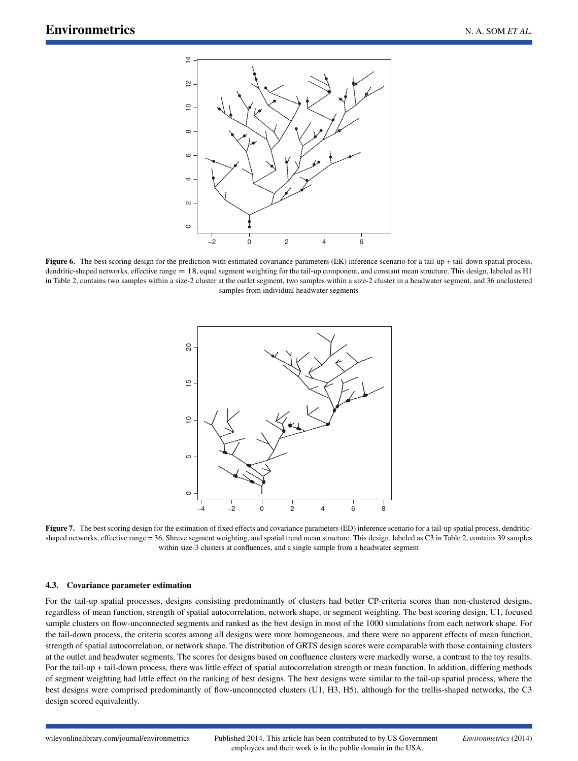

<span id="page-13-0"></span>**Figure 6.** The best scoring design for the prediction with estimated covariance parameters (EK) inference scenario for a tail-up + tail-down spatial process, dendritic-shaped networks, effective range  $= 18$ , equal segment weighting for the tail-up component, and constant mean structure. This design, labeled as H1 in Table [2,](#page-10-0) contains two samples within a size-2 cluster at the outlet segment, two samples within a size-2 cluster in a headwater segment, and 36 unclustered samples from individual headwater segments



<span id="page-13-1"></span>**Figure 7.** The best scoring design for the estimation of fixed effects and covariance parameters (ED) inference scenario for a tail-up spatial process, dendriticshaped networks, effective range = 36, Shreve segment weighting, and spatial trend mean structure. This design, labeled as C3 in Table [2,](#page-10-0) contains 39 samples within size-3 clusters at confluences, and a single sample from a headwater segment

### **4.3. Covariance parameter estimation**

For the tail-up spatial processes, designs consisting predominantly of clusters had better CP-criteria scores than non-clustered designs, regardless of mean function, strength of spatial autocorrelation, network shape, or segment weighting. The best scoring design, U1, focused sample clusters on flow-unconnected segments and ranked as the best design in most of the 1000 simulations from each network shape. For the tail-down process, the criteria scores among all designs were more homogeneous, and there were no apparent effects of mean function, strength of spatial autocorrelation, or network shape. The distribution of GRTS design scores were comparable with those containing clusters at the outlet and headwater segments. The scores for designs based on confluence clusters were markedly worse, a contrast to the toy results. For the tail-up + tail-down process, there was little effect of spatial autocorrelation strength or mean function. In addition, differing methods of segment weighting had little effect on the ranking of best designs. The best designs were similar to the tail-up spatial process, where the best designs were comprised predominantly of flow-unconnected clusters (U1, H3, H5), although for the trellis-shaped networks, the C3 design scored equivalently.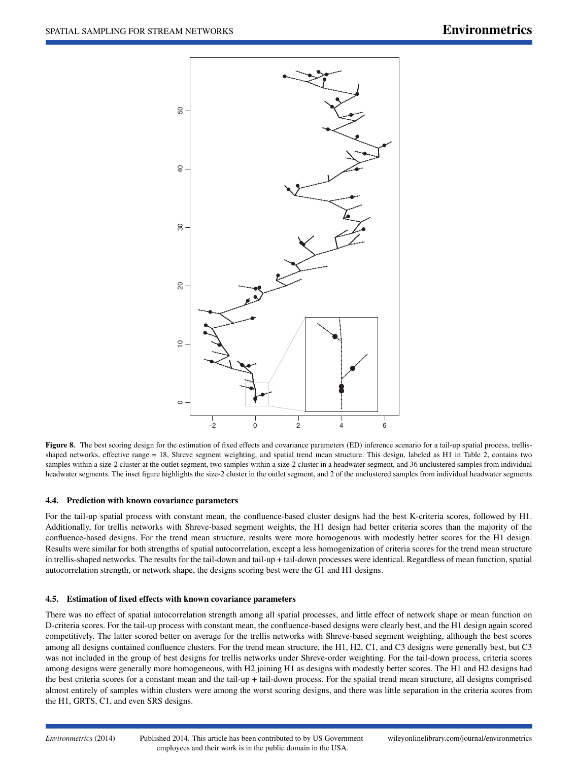

<span id="page-14-0"></span>**Figure 8.** The best scoring design for the estimation of fixed effects and covariance parameters (ED) inference scenario for a tail-up spatial process, trellisshaped networks, effective range = 18, Shreve segment weighting, and spatial trend mean structure. This design, labeled as H1 in Table [2,](#page-10-0) contains two samples within a size-2 cluster at the outlet segment, two samples within a size-2 cluster in a headwater segment, and 36 unclustered samples from individual headwater segments. The inset figure highlights the size-2 cluster in the outlet segment, and 2 of the unclustered samples from individual headwater segments

#### **4.4. Prediction with known covariance parameters**

For the tail-up spatial process with constant mean, the confluence-based cluster designs had the best K-criteria scores, followed by H1. Additionally, for trellis networks with Shreve-based segment weights, the H1 design had better criteria scores than the majority of the confluence-based designs. For the trend mean structure, results were more homogenous with modestly better scores for the H1 design. Results were similar for both strengths of spatial autocorrelation, except a less homogenization of criteria scores for the trend mean structure in trellis-shaped networks. The results for the tail-down and tail-up + tail-down processes were identical. Regardless of mean function, spatial autocorrelation strength, or network shape, the designs scoring best were the G1 and H1 designs.

# **4.5. Estimation of fixed effects with known covariance parameters**

There was no effect of spatial autocorrelation strength among all spatial processes, and little effect of network shape or mean function on D-criteria scores. For the tail-up process with constant mean, the confluence-based designs were clearly best, and the H1 design again scored competitively. The latter scored better on average for the trellis networks with Shreve-based segment weighting, although the best scores among all designs contained confluence clusters. For the trend mean structure, the H1, H2, C1, and C3 designs were generally best, but C3 was not included in the group of best designs for trellis networks under Shreve-order weighting. For the tail-down process, criteria scores among designs were generally more homogeneous, with H2 joining H1 as designs with modestly better scores. The H1 and H2 designs had the best criteria scores for a constant mean and the tail-up + tail-down process. For the spatial trend mean structure, all designs comprised almost entirely of samples within clusters were among the worst scoring designs, and there was little separation in the criteria scores from the H1, GRTS, C1, and even SRS designs.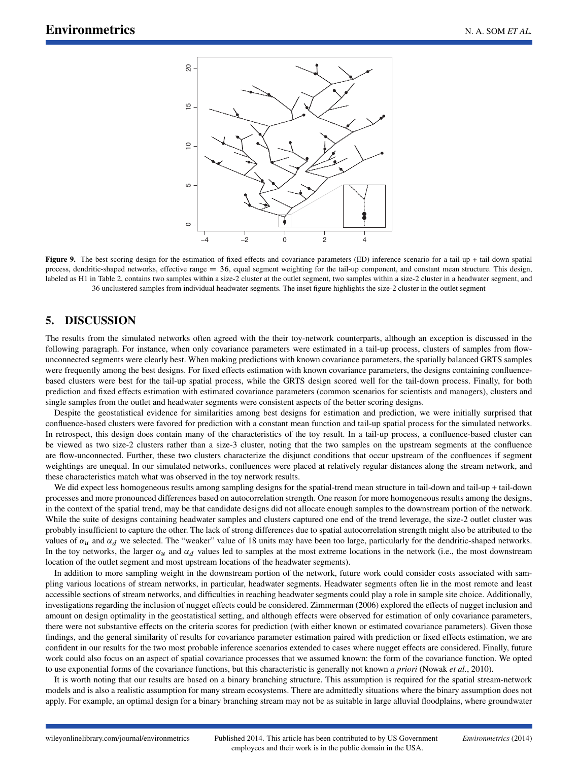

<span id="page-15-0"></span>**Figure 9.** The best scoring design for the estimation of fixed effects and covariance parameters (ED) inference scenario for a tail-up + tail-down spatial process, dendritic-shaped networks, effective range  $= 36$ , equal segment weighting for the tail-up component, and constant mean structure. This design, labeled as H1 in Table [2,](#page-10-0) contains two samples within a size-2 cluster at the outlet segment, two samples within a size-2 cluster in a headwater segment, and 36 unclustered samples from individual headwater segments. The inset figure highlights the size-2 cluster in the outlet segment

# **5. DISCUSSION**

The results from the simulated networks often agreed with the their toy-network counterparts, although an exception is discussed in the following paragraph. For instance, when only covariance parameters were estimated in a tail-up process, clusters of samples from flowunconnected segments were clearly best. When making predictions with known covariance parameters, the spatially balanced GRTS samples were frequently among the best designs. For fixed effects estimation with known covariance parameters, the designs containing confluencebased clusters were best for the tail-up spatial process, while the GRTS design scored well for the tail-down process. Finally, for both prediction and fixed effects estimation with estimated covariance parameters (common scenarios for scientists and managers), clusters and single samples from the outlet and headwater segments were consistent aspects of the better scoring designs.

Despite the geostatistical evidence for similarities among best designs for estimation and prediction, we were initially surprised that confluence-based clusters were favored for prediction with a constant mean function and tail-up spatial process for the simulated networks. In retrospect, this design does contain many of the characteristics of the toy result. In a tail-up process, a confluence-based cluster can be viewed as two size-2 clusters rather than a size-3 cluster, noting that the two samples on the upstream segments at the confluence are flow-unconnected. Further, these two clusters characterize the disjunct conditions that occur upstream of the confluences if segment weightings are unequal. In our simulated networks, confluences were placed at relatively regular distances along the stream network, and these characteristics match what was observed in the toy network results.

We did expect less homogeneous results among sampling designs for the spatial-trend mean structure in tail-down and tail-up + tail-down processes and more pronounced differences based on autocorrelation strength. One reason for more homogeneous results among the designs, in the context of the spatial trend, may be that candidate designs did not allocate enough samples to the downstream portion of the network. While the suite of designs containing headwater samples and clusters captured one end of the trend leverage, the size-2 outlet cluster was probably insufficient to capture the other. The lack of strong differences due to spatial autocorrelation strength might also be attributed to the values of  $\alpha_u$  and  $\alpha_d$  we selected. The "weaker" value of 18 units may have been too large, particularly for the dendritic-shaped networks. In the toy networks, the larger  $\alpha_u$  and  $\alpha_d$  values led to samples at the most extreme locations in the network (i.e., the most downstream location of the outlet segment and most upstream locations of the headwater segments).

In addition to more sampling weight in the downstream portion of the network, future work could consider costs associated with sampling various locations of stream networks, in particular, headwater segments. Headwater segments often lie in the most remote and least accessible sections of stream networks, and difficulties in reaching headwater segments could play a role in sample site choice. Additionally, investigations regarding the inclusion of nugget effects could be considered. Zimmerman (2006) explored the effects of nugget inclusion and amount on design optimality in the geostatistical setting, and although effects were observed for estimation of only covariance parameters, there were not substantive effects on the criteria scores for prediction (with either known or estimated covariance parameters). Given those findings, and the general similarity of results for covariance parameter estimation paired with prediction or fixed effects estimation, we are confident in our results for the two most probable inference scenarios extended to cases where nugget effects are considered. Finally, future work could also focus on an aspect of spatial covariance processes that we assumed known: the form of the covariance function. We opted to use exponential forms of the covariance functions, but this characteristic is generally not known *a priori* (Nowak *et al.*, 2010).

It is worth noting that our results are based on a binary branching structure. This assumption is required for the spatial stream-network models and is also a realistic assumption for many stream ecosystems. There are admittedly situations where the binary assumption does not apply. For example, an optimal design for a binary branching stream may not be as suitable in large alluvial floodplains, where groundwater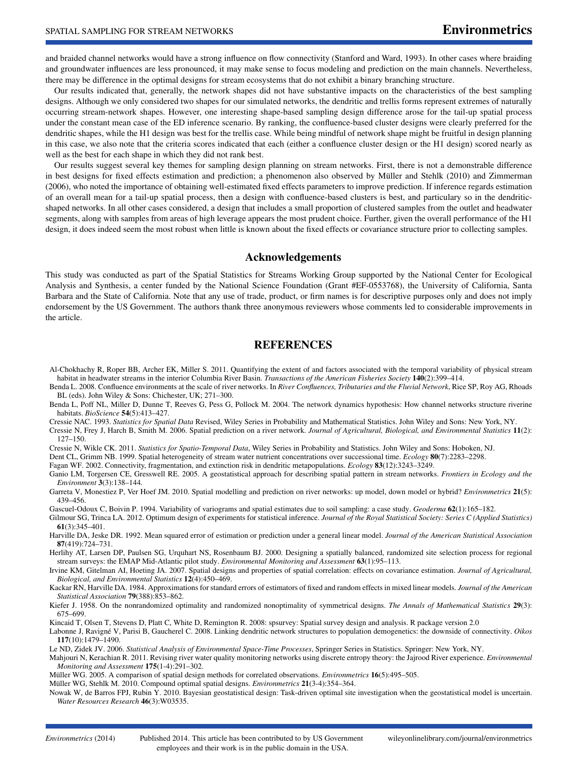and braided channel networks would have a strong influence on flow connectivity (Stanford and Ward, 1993). In other cases where braiding and groundwater influences are less pronounced, it may make sense to focus modeling and prediction on the main channels. Nevertheless, there may be difference in the optimal designs for stream ecosystems that do not exhibit a binary branching structure.

Our results indicated that, generally, the network shapes did not have substantive impacts on the characteristics of the best sampling designs. Although we only considered two shapes for our simulated networks, the dendritic and trellis forms represent extremes of naturally occurring stream-network shapes. However, one interesting shape-based sampling design difference arose for the tail-up spatial process under the constant mean case of the ED inference scenario. By ranking, the confluence-based cluster designs were clearly preferred for the dendritic shapes, while the H1 design was best for the trellis case. While being mindful of network shape might be fruitful in design planning in this case, we also note that the criteria scores indicated that each (either a confluence cluster design or the H1 design) scored nearly as well as the best for each shape in which they did not rank best.

Our results suggest several key themes for sampling design planning on stream networks. First, there is not a demonstrable difference in best designs for fixed effects estimation and prediction; a phenomenon also observed by Müller and Stehlk (2010) and Zimmerman (2006), who noted the importance of obtaining well-estimated fixed effects parameters to improve prediction. If inference regards estimation of an overall mean for a tail-up spatial process, then a design with confluence-based clusters is best, and particulary so in the dendriticshaped networks. In all other cases considered, a design that includes a small proportion of clustered samples from the outlet and headwater segments, along with samples from areas of high leverage appears the most prudent choice. Further, given the overall performance of the H1 design, it does indeed seem the most robust when little is known about the fixed effects or covariance structure prior to collecting samples.

# **Acknowledgements**

This study was conducted as part of the Spatial Statistics for Streams Working Group supported by the National Center for Ecological Analysis and Synthesis, a center funded by the National Science Foundation (Grant #EF-0553768), the University of California, Santa Barbara and the State of California. Note that any use of trade, product, or firm names is for descriptive purposes only and does not imply endorsement by the US Government. The authors thank three anonymous reviewers whose comments led to considerable improvements in the article.

# **REFERENCES**

Al-Chokhachy R, Roper BB, Archer EK, Miller S. 2011. Quantifying the extent of and factors associated with the temporal variability of physical stream habitat in headwater streams in the interior Columbia River Basin. *Transactions of the American Fisheries Society* **140**(2):399–414.

Benda L. 2008. Confluence environments at the scale of river networks. In *River Confluences, Tributaries and the Fluvial Network*, Rice SP, Roy AG, Rhoads BL (eds). John Wiley & Sons: Chichester, UK; 271–300.

Benda L, Poff NL, Miller D, Dunne T, Reeves G, Pess G, Pollock M. 2004. The network dynamics hypothesis: How channel networks structure riverine habitats. *BioScience* **54**(5):413–427.

Cressie NAC. 1993. *Statistics for Spatial Data* Revised, Wiley Series in Probability and Mathematical Statistics. John Wiley and Sons: New York, NY.

Cressie N, Frey J, Harch B, Smith M. 2006. Spatial prediction on a river network. *Journal of Agricultural, Biological, and Environmental Statistics* **11**(2): 127–150.

Cressie N, Wikle CK. 2011. *Statistics for Spatio-Temporal Data*, Wiley Series in Probability and Statistics. John Wiley and Sons: Hoboken, NJ.

Dent CL, Grimm NB. 1999. Spatial heterogeneity of stream water nutrient concentrations over successional time. *Ecology* **80**(7):2283–2298.

Fagan WF. 2002. Connectivity, fragmentation, and extinction risk in dendritic metapopulations. *Ecology* **83**(12):3243–3249.

Ganio LM, Torgersen CE, Gresswell RE. 2005. A geostatistical approach for describing spatial pattern in stream networks. *Frontiers in Ecology and the Environment* **3**(3):138–144.

Garreta V, Monestiez P, Ver Hoef JM. 2010. Spatial modelling and prediction on river networks: up model, down model or hybrid? *Environmetrics* **21**(5): 439–456.

Gascuel-Odoux C, Boivin P. 1994. Variability of variograms and spatial estimates due to soil sampling: a case study. *Geoderma* **62**(1):165–182.

Gilmour SG, Trinca LA. 2012. Optimum design of experiments for statistical inference. *Journal of the Royal Statistical Society: Series C (Applied Statistics)*

**61**(3):345–401.

Harville DA, Jeske DR. 1992. Mean squared error of estimation or prediction under a general linear model. *Journal of the American Statistical Association* **87**(419):724–731.

Herlihy AT, Larsen DP, Paulsen SG, Urquhart NS, Rosenbaum BJ. 2000. Designing a spatially balanced, randomized site selection process for regional stream surveys: the EMAP Mid-Atlantic pilot study. *Environmental Monitoring and Assessment* **63**(1):95–113.

Irvine KM, Gitelman AI, Hoeting JA. 2007. Spatial designs and properties of spatial correlation: effects on covariance estimation. *Journal of Agricultural, Biological, and Environmental Statistics* **12**(4):450–469.

Kackar RN, Harville DA. 1984. Approximations for standard errors of estimators of fixed and random effects in mixed linear models. *Journal of the American Statistical Association* **79**(388):853–862.

Kiefer J. 1958. On the nonrandomized optimality and randomized nonoptimality of symmetrical designs. *The Annals of Mathematical Statistics* **29**(3): 675–699.

Kincaid T, Olsen T, Stevens D, Platt C, White D, Remington R. 2008: spsurvey: Spatial survey design and analysis. R package version 2.0

Labonne J, Ravigné V, Parisi B, Gaucherel C. 2008. Linking dendritic network structures to population demogenetics: the downside of connectivity. *Oikos* **117**(10):1479–1490.

Le ND, Zidek JV. 2006. *Statistical Analysis of Environmental Space-Time Processes*, Springer Series in Statistics. Springer: New York, NY.

Mahjouri N, Kerachian R. 2011. Revising river water quality monitoring networks using discrete entropy theory: the Jajrood River experience. *Environmental Monitoring and Assessment* **175**(1-4):291–302.

Müller WG. 2005. A comparison of spatial design methods for correlated observations. *Environmetrics* **16**(5):495–505.

Müller WG, Stehlk M. 2010. Compound optimal spatial designs. *Environmetrics* **21**(3-4):354–364.

Nowak W, de Barros FPJ, Rubin Y. 2010. Bayesian geostatistical design: Task-driven optimal site investigation when the geostatistical model is uncertain. *Water Resources Research* **46**(3):W03535.